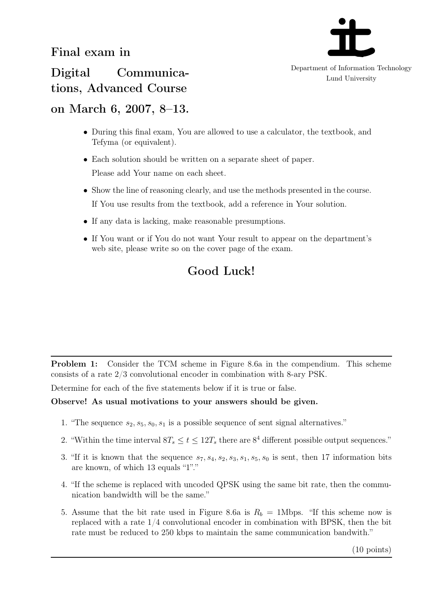

Department of Information Technology Lund University

Digital Communications, Advanced Course

## on March 6, 2007, 8–13.

- During this final exam, You are allowed to use a calculator, the textbook, and Tefyma (or equivalent).
- Each solution should be written on a separate sheet of paper. Please add Your name on each sheet.
- Show the line of reasoning clearly, and use the methods presented in the course. If You use results from the textbook, add a reference in Your solution.
- If any data is lacking, make reasonable presumptions.
- If You want or if You do not want Your result to appear on the department's web site, please write so on the cover page of the exam.

## Good Luck!

Problem 1: Consider the TCM scheme in Figure 8.6a in the compendium. This scheme consists of a rate 2/3 convolutional encoder in combination with 8-ary PSK.

Determine for each of the five statements below if it is true or false.

## Observe! As usual motivations to your answers should be given.

- 1. "The sequence  $s_2, s_5, s_0, s_1$  is a possible sequence of sent signal alternatives."
- 2. "Within the time interval  $8T_s \le t \le 12T_s$  there are  $8^4$  different possible output sequences."
- 3. "If it is known that the sequence  $s_7, s_4, s_2, s_3, s_1, s_5, s_0$  is sent, then 17 information bits are known, of which 13 equals "1"."
- 4. "If the scheme is replaced with uncoded QPSK using the same bit rate, then the communication bandwidth will be the same."
- 5. Assume that the bit rate used in Figure 8.6a is  $R_b = 1$ Mbps. "If this scheme now is replaced with a rate 1/4 convolutional encoder in combination with BPSK, then the bit rate must be reduced to 250 kbps to maintain the same communication bandwith."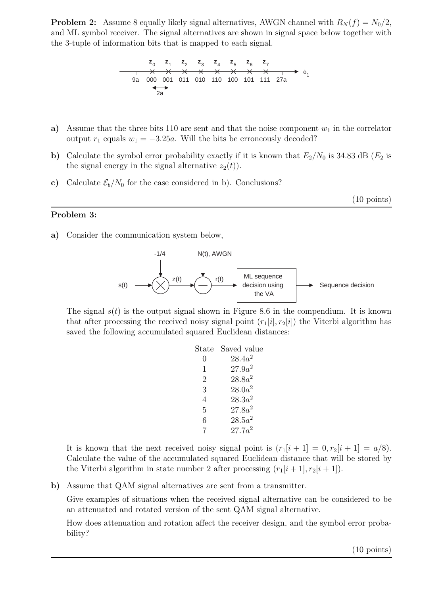**Problem 2:** Assume 8 equally likely signal alternatives, AWGN channel with  $R_N(f) = N_0/2$ , and ML symbol receiver. The signal alternatives are shown in signal space below together with the 3-tuple of information bits that is mapped to each signal.

$$
\begin{array}{ccccccccccc}\n & z_0 & z_1 & z_2 & z_3 & z_4 & z_5 & z_6 & z_7 \\
& & \times & \times & \times & \times & \times & \times & \times & \times & \rightarrow & \phi_1 \\
& 9a & 000 & 001 & 011 & 010 & 110 & 100 & 101 & 111 & 27a\n\end{array}
$$

- a) Assume that the three bits 110 are sent and that the noise component  $w_1$  in the correlator output  $r_1$  equals  $w_1 = -3.25a$ . Will the bits be erroneously decoded?
- b) Calculate the symbol error probability exactly if it is known that  $E_2/N_0$  is 34.83 dB ( $E_2$  is the signal energy in the signal alternative  $z_2(t)$ .
- c) Calculate  $\mathcal{E}_b/N_0$  for the case considered in b). Conclusions?

(10 points)

a) Consider the communication system below,

Problem 3:



The signal  $s(t)$  is the output signal shown in Figure 8.6 in the compendium. It is known that after processing the received noisy signal point  $(r_1[i], r_2[i])$  the Viterbi algorithm has saved the following accumulated squared Euclidean distances:

| State          | Saved value |
|----------------|-------------|
| $\mathcal{O}$  | $28.4a^2$   |
| 1              | $27.9a^2$   |
| 2              | $28.8a^2$   |
| 3              | $28.0a^2$   |
| $\overline{4}$ | $28.3a^2$   |
| 5              | $27.8a^2$   |
| 6              | $28.5a^2$   |
| 7              | $27.7a^2$   |
|                |             |

It is known that the next received noisy signal point is  $(r_1[i+1] = 0, r_2[i+1] = a/8)$ . Calculate the value of the accumulated squared Euclidean distance that will be stored by the Viterbi algorithm in state number 2 after processing  $(r_1[i+1], r_2[i+1])$ .

b) Assume that QAM signal alternatives are sent from a transmitter.

Give examples of situations when the received signal alternative can be considered to be an attenuated and rotated version of the sent QAM signal alternative.

How does attenuation and rotation affect the receiver design, and the symbol error probability?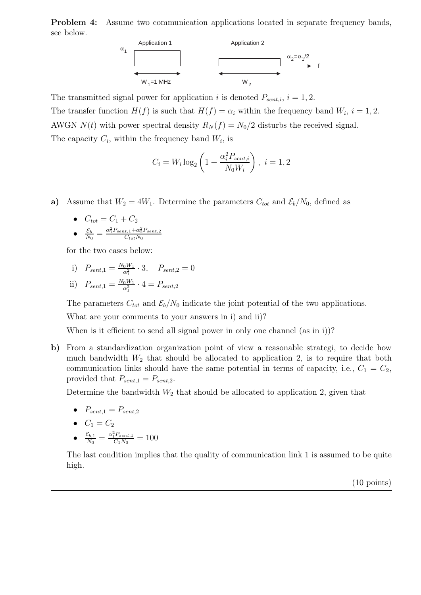Problem 4: Assume two communication applications located in separate frequency bands, see below.



The transmitted signal power for application i is denoted  $P_{sent,i}$ ,  $i = 1, 2$ . The transfer function  $H(f)$  is such that  $H(f) = \alpha_i$  within the frequency band  $W_i$ ,  $i = 1, 2$ . AWGN  $N(t)$  with power spectral density  $R_N(f) = N_0/2$  disturbs the received signal. The capacity  $C_i$ , within the frequency band  $W_i$ , is

$$
C_i = W_i \log_2 \left( 1 + \frac{\alpha_i^2 P_{sent,i}}{N_0 W_i} \right), i = 1, 2
$$

a) Assume that  $W_2 = 4W_1$ . Determine the parameters  $C_{tot}$  and  $\mathcal{E}_b/N_0$ , defined as

•  $C_{tot} = C_1 + C_2$  $\bullet$   $\frac{\mathcal{E}_{b}}{N_{0}} = \frac{\alpha_{1}^{2}P_{sent,1} + \alpha_{2}^{2}P_{sent,2}}{C_{tot}N_{0}}$  $C_{tot}N_0$ 

for the two cases below:

i) 
$$
P_{sent,1} = \frac{N_0 W_1}{\alpha_1^2} \cdot 3
$$
,  $P_{sent,2} = 0$   
ii)  $P_{sent,1} = \frac{N_0 W_1}{\alpha_1^2} \cdot 4 = P_{sent,2}$ 

The parameters  $C_{tot}$  and  $\mathcal{E}_b/N_0$  indicate the joint potential of the two applications.

What are your comments to your answers in i) and ii)?

When is it efficient to send all signal power in only one channel (as in i))?

b) From a standardization organization point of view a reasonable strategi, to decide how much bandwidth  $W_2$  that should be allocated to application 2, is to require that both communication links should have the same potential in terms of capacity, i.e.,  $C_1 = C_2$ , provided that  $P_{sent,1} = P_{sent,2}$ .

Determine the bandwidth  $W_2$  that should be allocated to application 2, given that

$$
\bullet \quad P_{sent,1} = P_{sent,2}
$$

$$
\bullet \quad C_1 = C_2
$$

 $\bullet$   $\frac{\mathcal{E}_{b,1}}{N_0} = \frac{\alpha_1^2 P_{sent,1}}{C_1 N_0}$  $C_1N_0$  =  $55$ 

The last condition implies that the quality of communication link 1 is assumed to be quite high.

(10 points)